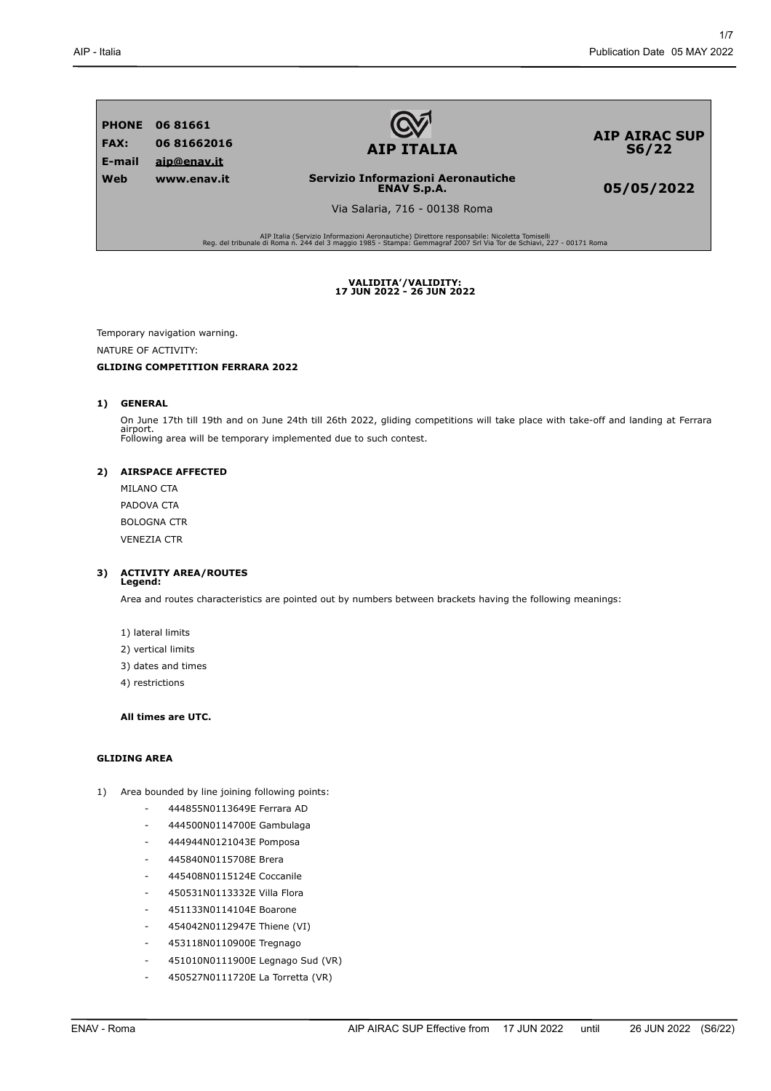

**AIP ITALIA**

**AIP AIRAC SUP S6/22**

**05/05/2022**

**ENAV S.p.A.** Via Salaria, 716 - 00138 Roma

**Servizio Informazioni Aeronautiche**

AIP Italia (Servizio Informazioni Aeronautiche) Direttore responsabile: Nicoletta Tomiselli Reg. del tribunale di Roma n. 244 del 3 maggio 1985 - Stampa: Gemmagraf 2007 Srl Via Tor de Schiavi, 227 - 00171 Roma

**VALIDITA'/VALIDITY: 17 JUN 2022 - 26 JUN 2022**

Temporary navigation warning.

NATURE OF ACTIVITY:

# **GLIDING COMPETITION FERRARA 2022**

# **1) GENERAL**

On June 17th till 19th and on June 24th till 26th 2022, gliding competitions will take place with take-off and landing at Ferrara airport. Following area will be temporary implemented due to such contest.

### **2) AIRSPACE AFFECTED**

MILANO CTA PADOVA CTA BOLOGNA CTR VENEZIA CTR

# **3) ACTIVITY AREA/ROUTES Legend:**

Area and routes characteristics are pointed out by numbers between brackets having the following meanings:

- 1) lateral limits
- 2) vertical limits
- 3) dates and times
- 4) restrictions

# **All times are UTC.**

# **GLIDING AREA**

- 1) Area bounded by line joining following points:
	- 444855N0113649E Ferrara AD
	- 444500N0114700E Gambulaga
	- 444944N0121043E Pomposa
	- 445840N0115708E Brera
	- 445408N0115124E Coccanile
	- 450531N0113332E Villa Flora
	- 451133N0114104E Boarone
	- 454042N0112947E Thiene (VI)
	- 453118N0110900E Tregnago
	- 451010N0111900E Legnago Sud (VR)
	- 450527N0111720E La Torretta (VR)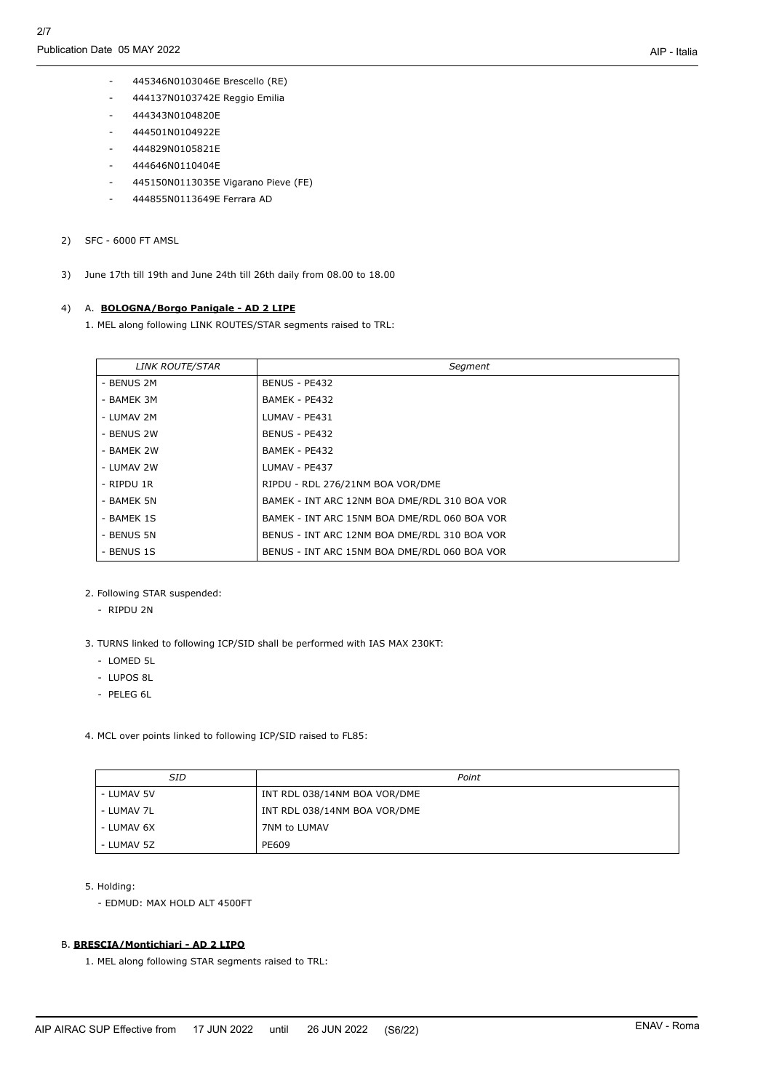- 445346N0103046E Brescello (RE)
- 444137N0103742E Reggio Emilia
- 444343N0104820E
- 444501N0104922E
- 444829N0105821E
- 444646N0110404E
- 445150N0113035E Vigarano Pieve (FE)
- 444855N0113649E Ferrara AD
- 2) SFC 6000 FT AMSL
- 3) June 17th till 19th and June 24th till 26th daily from 08.00 to 18.00

## 4) A. **BOLOGNA/Borgo Panigale - AD 2 LIPE**

1. MEL along following LINK ROUTES/STAR segments raised to TRL:

| <b>LINK ROUTE/STAR</b> | Segment                                      |
|------------------------|----------------------------------------------|
| - BENUS 2M             | BENUS - PE432                                |
| - BAMEK 3M             | BAMEK - PE432                                |
| - LUMAV 2M             | LUMAV - PE431                                |
| - BENUS 2W             | BENUS - PE432                                |
| - BAMEK 2W             | BAMEK - PE432                                |
| - LUMAV 2W             | LUMAV - PE437                                |
| - RIPDU 1R             | RIPDU - RDL 276/21NM BOA VOR/DME             |
| - BAMEK 5N             | BAMEK - INT ARC 12NM BOA DME/RDL 310 BOA VOR |
| - BAMEK 1S             | BAMEK - INT ARC 15NM BOA DME/RDL 060 BOA VOR |
| - BENUS 5N             | BENUS - INT ARC 12NM BOA DME/RDL 310 BOA VOR |
| - BENUS 1S             | BENUS - INT ARC 15NM BOA DME/RDL 060 BOA VOR |

- 2. Following STAR suspended:
	- RIPDU 2N
- 3. TURNS linked to following ICP/SID shall be performed with IAS MAX 230KT:
	- LOMED 5L
	- LUPOS 8L
	- PELEG 6L
- 4. MCL over points linked to following ICP/SID raised to FL85:

| SID        | Point                        |
|------------|------------------------------|
| - LUMAV 5V | INT RDL 038/14NM BOA VOR/DME |
| - LUMAV 7L | INT RDL 038/14NM BOA VOR/DME |
| - LUMAV 6X | 7NM to LUMAV                 |
| - LUMAV 5Z | PE609                        |

5. Holding:

- EDMUD: MAX HOLD ALT 4500FT

# B. **BRESCIA/Montichiari - AD 2 LIPO**

1. MEL along following STAR segments raised to TRL: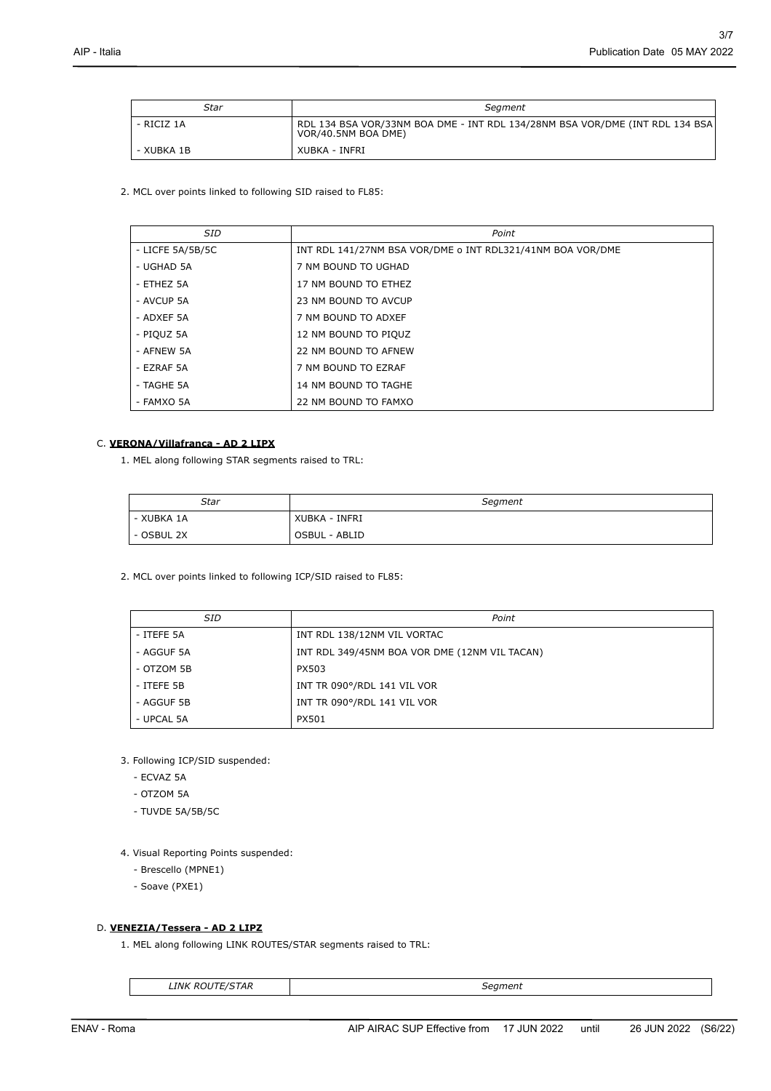| Star       | Seament                                                                                             |
|------------|-----------------------------------------------------------------------------------------------------|
| - RICIZ 1A | RDL 134 BSA VOR/33NM BOA DME - INT RDL 134/28NM BSA VOR/DME (INT RDL 134 BSA<br>VOR/40.5NM BOA DME) |
| - XUBKA 1B | XUBKA - INFRI                                                                                       |

2. MCL over points linked to following SID raised to FL85:

| <b>SID</b>       | Point                                                      |
|------------------|------------------------------------------------------------|
| - LICFE 5A/5B/5C | INT RDL 141/27NM BSA VOR/DME o INT RDL321/41NM BOA VOR/DME |
| - UGHAD 5A       | 7 NM BOUND TO UGHAD                                        |
| - ETHEZ 5A       | 17 NM BOUND TO ETHEZ                                       |
| - AVCUP 5A       | 23 NM BOUND TO AVCUP                                       |
| - ADXEF 5A       | 7 NM BOUND TO ADXEF                                        |
| - PIQUZ 5A       | 12 NM BOUND TO PIOUZ                                       |
| - AFNEW 5A       | 22 NM BOUND TO AFNEW                                       |
| - EZRAF 5A       | 7 NM BOUND TO EZRAF                                        |
| - TAGHE 5A       | 14 NM BOUND TO TAGHE                                       |
| - FAMXO 5A       | 22 NM BOUND TO FAMXO                                       |

# C. **VERONA/Villafranca - AD 2 LIPX**

1. MEL along following STAR segments raised to TRL:

| Star       | Segment       |
|------------|---------------|
| - XUBKA 1A | XUBKA - INFRI |
| - OSBUL 2X | OSBUL - ABLID |

2. MCL over points linked to following ICP/SID raised to FL85:

| <b>SID</b> | Point                                         |
|------------|-----------------------------------------------|
| - ITEFE 5A | INT RDL 138/12NM VIL VORTAC                   |
| - AGGUF 5A | INT RDL 349/45NM BOA VOR DME (12NM VIL TACAN) |
| - OTZOM 5B | PX503                                         |
| - ITEFE 5B | INT TR 090°/RDL 141 VIL VOR                   |
| - AGGUF 5B | INT TR 090°/RDL 141 VIL VOR                   |
| - UPCAL 5A | PX501                                         |

3. Following ICP/SID suspended:

- ECVAZ 5A
- OTZOM 5A
- TUVDE 5A/5B/5C

4. Visual Reporting Points suspended:

- Brescello (MPNE1)
- Soave (PXE1)

# D. **VENEZIA/Tessera - AD 2 LIPZ**

1. MEL along following LINK ROUTES/STAR segments raised to TRL:

```
LINK ROUTE/STAR Segment
```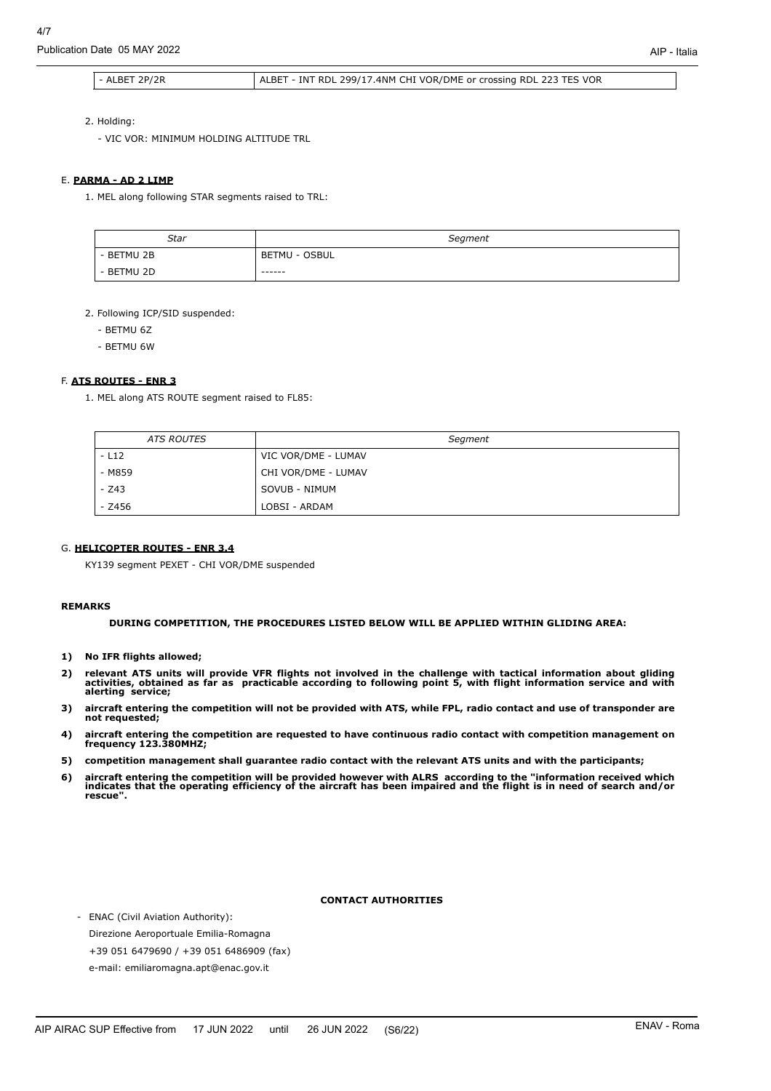Publication Date 05 MAY 2022

## - ALBET 2P/2R ALBET - INT RDL 299/17.4NM CHI VOR/DME or crossing RDL 223 TES VOR

2. Holding:

- VIC VOR: MINIMUM HOLDING ALTITUDE TRL

#### E. **PARMA - AD 2 LIMP**

1. MEL along following STAR segments raised to TRL:

| Star       | Segment       |
|------------|---------------|
| - BETMU 2B | BETMU - OSBUL |
| - BETMU 2D | -------       |

2. Following ICP/SID suspended:

- BETMU 6Z
- BETMU 6W

# F. **ATS ROUTES - ENR 3**

1. MEL along ATS ROUTE segment raised to FL85:

| <b>ATS ROUTES</b> | Segment             |
|-------------------|---------------------|
| $-L12$            | VIC VOR/DME - LUMAV |
| - M859            | CHI VOR/DME - LUMAV |
| $-243$            | SOVUB - NIMUM       |
| $- 2456$          | LOBSI - ARDAM       |

#### G. **HELICOPTER ROUTES - ENR 3.4**

KY139 segment PEXET - CHI VOR/DME suspended

#### **REMARKS**

**DURING COMPETITION, THE PROCEDURES LISTED BELOW WILL BE APPLIED WITHIN GLIDING AREA:**

- **1) No IFR flights allowed;**
- 2) relevant ATS units will provide VFR flights not involved in the challenge with tactical information about gliding<br>activities, obtained as far as practicable according to following point 5, with flight information servic **alerting service;**
- **3) aircraft entering the competition will not be provided with ATS, while FPL, radio contact and use of transponder are not requested;**
- **4) aircraft entering the competition are requested to have continuous radio contact with competition management on frequency 123.380MHZ;**
- **5) competition management shall guarantee radio contact with the relevant ATS units and with the participants;**
- 6) aircraft entering the competition will be provided however with ALRS according to the "information received which<br>indicates that the operating efficiency of the aircraft has been impaired and the flight is in need of se **rescue".**

### **CONTACT AUTHORITIES**

- ENAC (Civil Aviation Authority): Direzione Aeroportuale Emilia-Romagna +39 051 6479690 / +39 051 6486909 (fax) e-mail: emiliaromagna.apt@enac.gov.it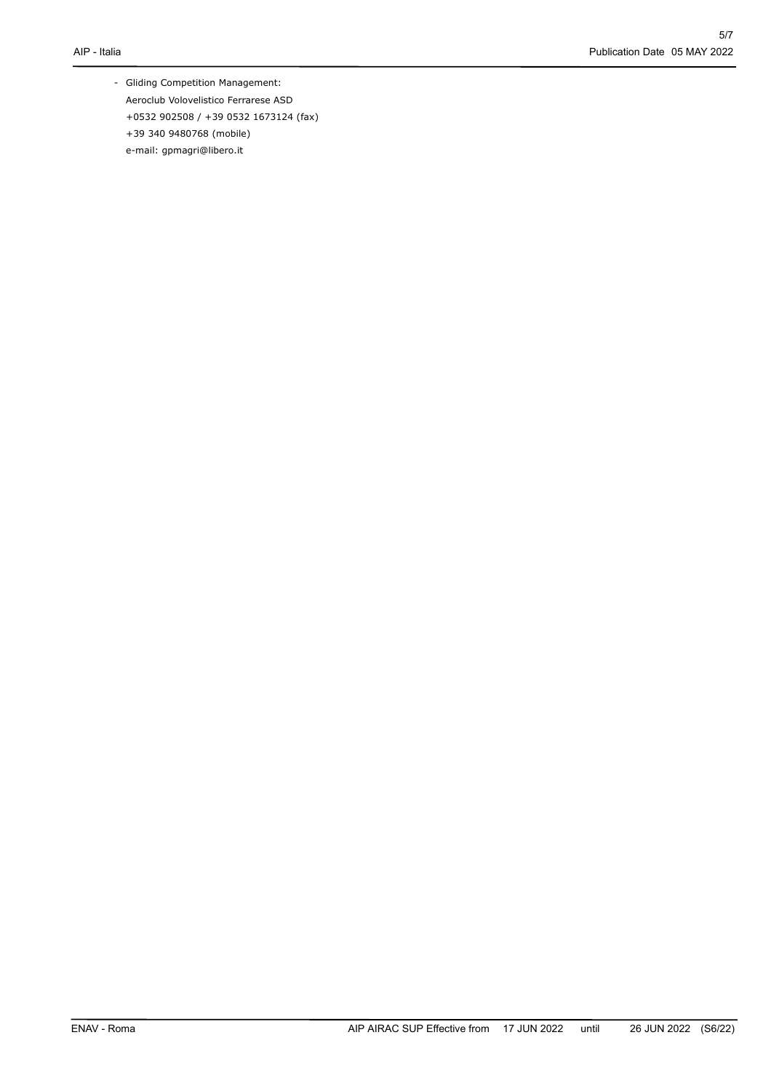- Gliding Competition Management: Aeroclub Volovelistico Ferrarese ASD +0532 902508 / +39 0532 1673124 (fax) +39 340 9480768 (mobile) e-mail: gpmagri@libero.it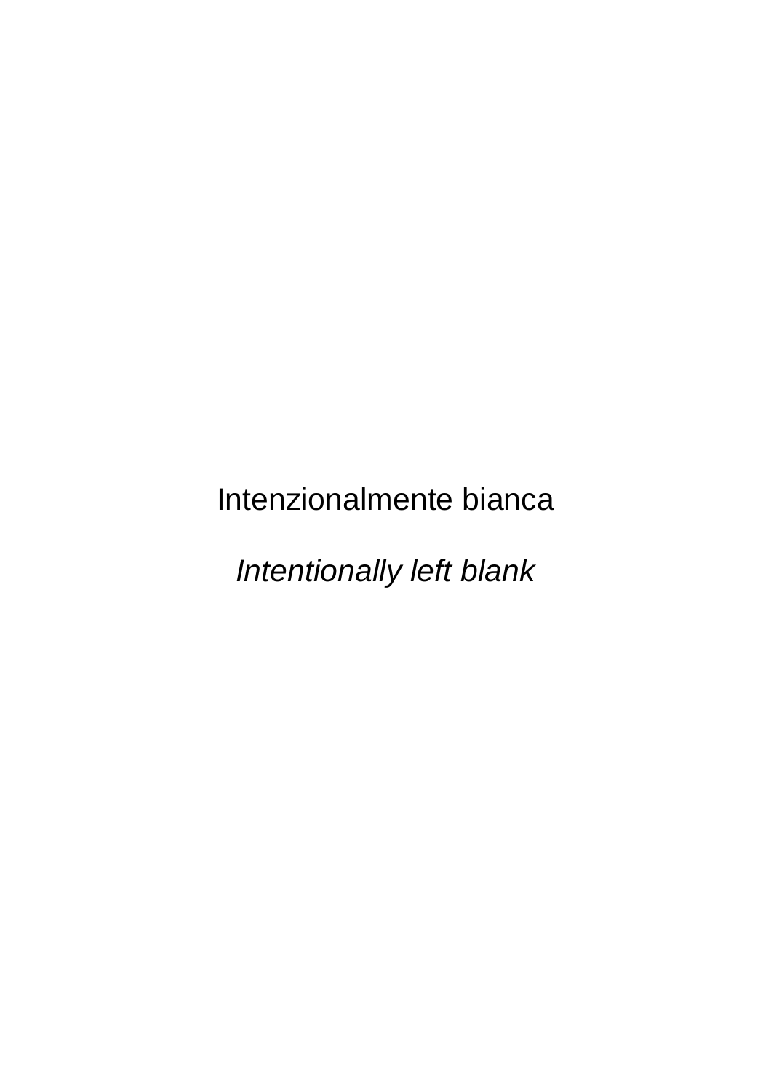Intenzionalmente bianca

*Intentionally left blank*